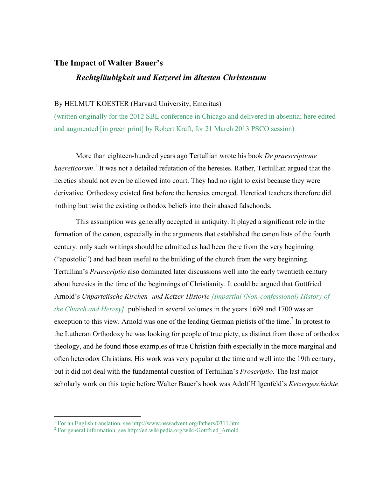## **The Impact of Walter Bauer's**

## *Rechtgläubigkeit und Ketzerei im ältesten Christentum*

## By HELMUT KOESTER (Harvard University, Emeritus)

(written originally for the 2012 SBL conference in Chicago and delivered in absentia; here edited and augmented [in green print] by Robert Kraft, for 21 March 2013 PSCO session)

More than eighteen-hundred years ago Tertullian wrote his book *De praescriptione*  haereticorum.<sup>1</sup> It was not a detailed refutation of the heresies. Rather, Tertullian argued that the heretics should not even be allowed into court. They had no right to exist because they were derivative. Orthodoxy existed first before the heresies emerged. Heretical teachers therefore did nothing but twist the existing orthodox beliefs into their abased falsehoods.

This assumption was generally accepted in antiquity. It played a significant role in the formation of the canon, especially in the arguments that established the canon lists of the fourth century: only such writings should be admitted as had been there from the very beginning ("apostolic") and had been useful to the building of the church from the very beginning. Tertullian's *Praescriptio* also dominated later discussions well into the early twentieth century about heresies in the time of the beginnings of Christianity. It could be argued that Gottfried Arnold's *Unparteiische Kirchen- und Ketzer-Historie [Impartial (Non-confessional) History of the Church and Heresy],* published in several volumes in the years 1699 and 1700 was an exception to this view. Arnold was one of the leading German pietists of the time.<sup>2</sup> In protest to the Lutheran Orthodoxy he was looking for people of true piety, as distinct from those of orthodox theology, and he found those examples of true Christian faith especially in the more marginal and often heterodox Christians. His work was very popular at the time and well into the 19th century, but it did not deal with the fundamental question of Tertullian's *Proscriptio.* The last major scholarly work on this topic before Walter Bauer's book was Adolf Hilgenfeld's *Ketzergeschichte* 

 $\frac{1}{1}$ For an English translation, see http://www.newadvent.org/fathers/0311.htm

<sup>&</sup>lt;sup>2</sup> For general information, see http://en.wikipedia.org/wiki/Gottfried\_Arnold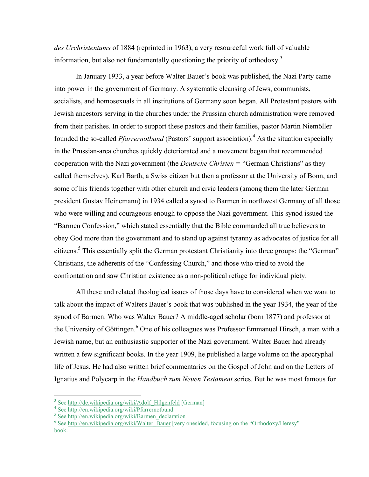*des Urchristentums* of 1884 (reprinted in 1963), a very resourceful work full of valuable information, but also not fundamentally questioning the priority of orthodoxy.<sup>3</sup>

In January 1933, a year before Walter Bauer's book was published, the Nazi Party came into power in the government of Germany. A systematic cleansing of Jews, communists, socialists, and homosexuals in all institutions of Germany soon began. All Protestant pastors with Jewish ancestors serving in the churches under the Prussian church administration were removed from their parishes. In order to support these pastors and their families, pastor Martin Niemöller founded the so-called *Pfarrernotbund* (Pastors' support association).<sup>4</sup> As the situation especially in the Prussian-area churches quickly deteriorated and a movement began that recommended cooperation with the Nazi government (the *Deutsche Christen =* "German Christians" as they called themselves), Karl Barth, a Swiss citizen but then a professor at the University of Bonn, and some of his friends together with other church and civic leaders (among them the later German president Gustav Heinemann) in 1934 called a synod to Barmen in northwest Germany of all those who were willing and courageous enough to oppose the Nazi government. This synod issued the "Barmen Confession," which stated essentially that the Bible commanded all true believers to obey God more than the government and to stand up against tyranny as advocates of justice for all citizens.<sup>5</sup> This essentially split the German protestant Christianity into three groups: the "German" Christians, the adherents of the "Confessing Church," and those who tried to avoid the confrontation and saw Christian existence as a non-political refuge for individual piety.

All these and related theological issues of those days have to considered when we want to talk about the impact of Walters Bauer's book that was published in the year 1934, the year of the synod of Barmen. Who was Walter Bauer? A middle-aged scholar (born 1877) and professor at the University of Göttingen.<sup>6</sup> One of his colleagues was Professor Emmanuel Hirsch, a man with a Jewish name, but an enthusiastic supporter of the Nazi government. Walter Bauer had already written a few significant books. In the year 1909, he published a large volume on the apocryphal life of Jesus. He had also written brief commentaries on the Gospel of John and on the Letters of Ignatius and Polycarp in the *Handbuch zum Neuen Testament* series. But he was most famous for

<sup>&</sup>lt;sup>2</sup><br>3  $3$  See http://de.wikipedia.org/wiki/Adolf Hilgenfeld [German]

<sup>&</sup>lt;sup>4</sup> See http://en.wikipedia.org/wiki/Pfarrernotbund

<sup>&</sup>lt;sup>5</sup> See http://en.wikipedia.org/wiki/Barmen\_declaration

 $6$  See http://en.wikipedia.org/wiki/Walter\_Bauer [very onesided, focusing on the "Orthodoxy/Heresy" book.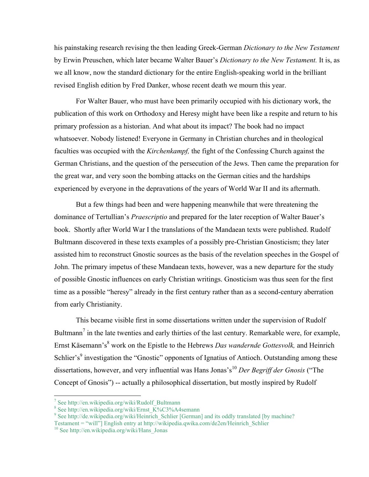his painstaking research revising the then leading Greek-German *Dictionary to the New Testament* by Erwin Preuschen, which later became Walter Bauer's *Dictionary to the New Testament.* It is, as we all know, now the standard dictionary for the entire English-speaking world in the brilliant revised English edition by Fred Danker, whose recent death we mourn this year.

For Walter Bauer, who must have been primarily occupied with his dictionary work, the publication of this work on Orthodoxy and Heresy might have been like a respite and return to his primary profession as a historian. And what about its impact? The book had no impact whatsoever. Nobody listened! Everyone in Germany in Christian churches and in theological faculties was occupied with the *Kirchenkampf,* the fight of the Confessing Church against the German Christians, and the question of the persecution of the Jews. Then came the preparation for the great war, and very soon the bombing attacks on the German cities and the hardships experienced by everyone in the depravations of the years of World War II and its aftermath.

But a few things had been and were happening meanwhile that were threatening the dominance of Tertullian's *Praescriptio* and prepared for the later reception of Walter Bauer's book. Shortly after World War I the translations of the Mandaean texts were published. Rudolf Bultmann discovered in these texts examples of a possibly pre-Christian Gnosticism; they later assisted him to reconstruct Gnostic sources as the basis of the revelation speeches in the Gospel of John. The primary impetus of these Mandaean texts, however, was a new departure for the study of possible Gnostic influences on early Christian writings. Gnosticism was thus seen for the first time as a possible "heresy" already in the first century rather than as a second-century aberration from early Christianity.

This became visible first in some dissertations written under the supervision of Rudolf Bultmann<sup>7</sup> in the late twenties and early thirties of the last century. Remarkable were, for example, Ernst Käsemann's<sup>8</sup> work on the Epistle to the Hebrews *Das wandernde Gottesvolk*, and Heinrich Schlier's<sup>9</sup> investigation the "Gnostic" opponents of Ignatius of Antioch. Outstanding among these dissertations, however, and very influential was Hans Jonas's<sup>10</sup> Der Begriff der Gnosis ("The Concept of Gnosis") -- actually a philosophical dissertation, but mostly inspired by Rudolf

<sup>.&</sup>lt;br>7 <sup>7</sup> See http://en.wikipedia.org/wiki/Rudolf\_Bultmann

<sup>&</sup>lt;sup>8</sup> See http://en.wikipedia.org/wiki/Ernst\_K%C3%A4semann

<sup>&</sup>lt;sup>9</sup> See http://de.wikipedia.org/wiki/Heinrich\_Schlier [German] and its oddly translated [by machine? Testament = "will"] English entry at http://wikipedia.qwika.com/de2en/Heinrich\_Schlier

<sup>&</sup>lt;sup>10</sup> See http://en.wikipedia.org/wiki/Hans\_Jonas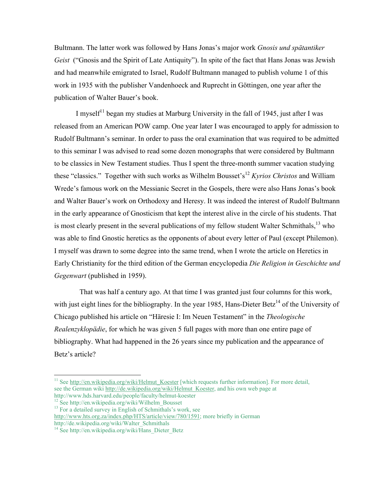Bultmann. The latter work was followed by Hans Jonas's major work *Gnosis und spätantiker Geist* ("Gnosis and the Spirit of Late Antiquity"). In spite of the fact that Hans Jonas was Jewish and had meanwhile emigrated to Israel, Rudolf Bultmann managed to publish volume 1 of this work in 1935 with the publisher Vandenhoeck and Ruprecht in Göttingen, one year after the publication of Walter Bauer's book.

I myself<sup> $11$ </sup> began my studies at Marburg University in the fall of 1945, just after I was released from an American POW camp. One year later I was encouraged to apply for admission to Rudolf Bultmann's seminar. In order to pass the oral examination that was required to be admitted to this seminar I was advised to read some dozen monographs that were considered by Bultmann to be classics in New Testament studies. Thus I spent the three-month summer vacation studying these "classics." Together with such works as Wilhelm Bousset's<sup>12</sup> *Kyrios Christos* and William Wrede's famous work on the Messianic Secret in the Gospels, there were also Hans Jonas's book and Walter Bauer's work on Orthodoxy and Heresy. It was indeed the interest of Rudolf Bultmann in the early appearance of Gnosticism that kept the interest alive in the circle of his students. That is most clearly present in the several publications of my fellow student Walter Schmithals,  $^{13}$  who was able to find Gnostic heretics as the opponents of about every letter of Paul (except Philemon). I myself was drawn to some degree into the same trend, when I wrote the article on Heretics in Early Christianity for the third edition of the German encyclopedia *Die Religion in Geschichte und Gegenwart* (published in 1959).

 That was half a century ago. At that time I was granted just four columns for this work, with just eight lines for the bibliography. In the year 1985, Hans-Dieter Betz<sup>14</sup> of the University of Chicago published his article on "Häresie I: Im Neuen Testament" in the *Theologische Realenzyklopädie*, for which he was given 5 full pages with more than one entire page of bibliography. What had happened in the 26 years since my publication and the appearance of Betz's article?

http://de.wikipedia.org/wiki/Walter\_Schmithals

<sup>&</sup>lt;sup>11</sup> See http://en.wikipedia.org/wiki/Helmut\_Koester [which requests further information]. For more detail, see the German wiki http://de.wikipedia.org/wiki/Helmut\_Koester, and his own web page at http://www.hds.harvard.edu/people/faculty/helmut-koester

 $h^{12}$  See http://en.wikipedia.org/wiki/Wilhelm Bousset

<sup>&</sup>lt;sup>13</sup> For a detailed survey in English of Schmithals's work, see http://www.hts.org.za/index.php/HTS/article/view/780/1591; more briefly in German

<sup>&</sup>lt;sup>14</sup> See http://en.wikipedia.org/wiki/ $\overline{H}$ ans Dieter Betz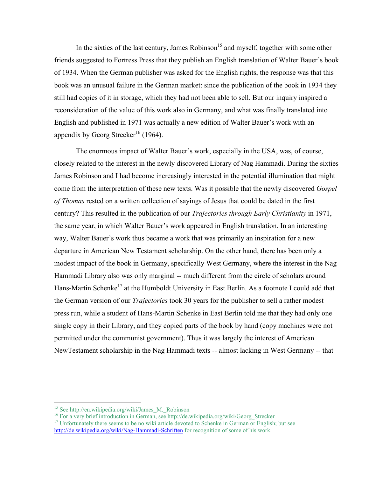In the sixties of the last century, James Robinson<sup>15</sup> and myself, together with some other friends suggested to Fortress Press that they publish an English translation of Walter Bauer's book of 1934. When the German publisher was asked for the English rights, the response was that this book was an unusual failure in the German market: since the publication of the book in 1934 they still had copies of it in storage, which they had not been able to sell. But our inquiry inspired a reconsideration of the value of this work also in Germany, and what was finally translated into English and published in 1971 was actually a new edition of Walter Bauer's work with an appendix by Georg Strecker<sup>16</sup> (1964).

The enormous impact of Walter Bauer's work, especially in the USA, was, of course, closely related to the interest in the newly discovered Library of Nag Hammadi. During the sixties James Robinson and I had become increasingly interested in the potential illumination that might come from the interpretation of these new texts. Was it possible that the newly discovered *Gospel of Thomas* rested on a written collection of sayings of Jesus that could be dated in the first century? This resulted in the publication of our *Trajectories through Early Christianity* in 1971, the same year, in which Walter Bauer's work appeared in English translation. In an interesting way, Walter Bauer's work thus became a work that was primarily an inspiration for a new departure in American New Testament scholarship. On the other hand, there has been only a modest impact of the book in Germany, specifically West Germany, where the interest in the Nag Hammadi Library also was only marginal -- much different from the circle of scholars around Hans-Martin Schenke<sup>17</sup> at the Humboldt University in East Berlin. As a footnote I could add that the German version of our *Trajectories* took 30 years for the publisher to sell a rather modest press run, while a student of Hans-Martin Schenke in East Berlin told me that they had only one single copy in their Library, and they copied parts of the book by hand (copy machines were not permitted under the communist government). Thus it was largely the interest of American NewTestament scholarship in the Nag Hammadi texts -- almost lacking in West Germany -- that

<sup>&</sup>lt;sup>15</sup> See http://en.wikipedia.org/wiki/James\_M.\_Robinson<br><sup>16</sup> For a very brief introduction in German, see http://de.wikipedia.org/wiki/Georg Strecker

<sup>&</sup>lt;sup>17</sup> Unfortunately there seems to be no wiki article devoted to Schenke in German or English; but see http://de.wikipedia.org/wiki/Nag-Hammadi-Schriften for recognition of some of his work.